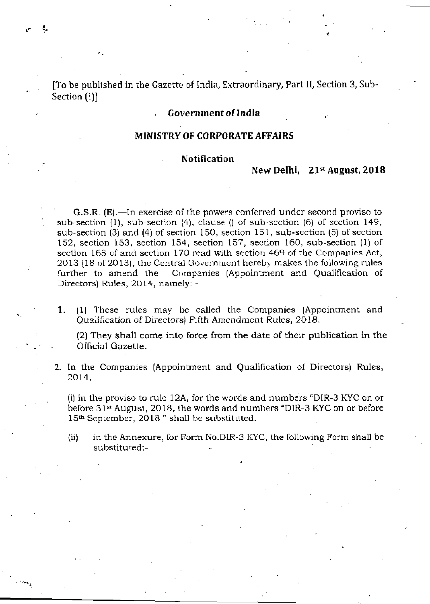[To be published in the Gazette of India, Extraordinary, Part II, Section 3, Sub-Section (i)]

# **Government of India**

# **MINISTRY OF CORPORATE AFFAIRS**

# **Notification**

# **New Delhi, 21st August, 2018**

**•** 

G.S.R. (E).—In exercise of the powers conferred under second proviso to sub-section (1), sub-section (4), clause () of sub-section (6) of section 149, sub-section (3) and (4) of section 150, section 151, sub-section (5) of section 152, section 153, section 154, section 157, section 160, sub-section (1) of section 168 of and section 170 read with section 469 of the Companies Act, 2013 (18 of 2013), the Central Government hereby makes the following rules further to amend the Companies (Appointment and Qualification of Directors) Rules, 2014, namely: -

1. (1) These rules may be called the Companies (Appointment and Qualification of Directors) Fifth Amendment Rules, 2018.

(2) They shall come into force from the date of their publication in the Official Gazette.

2. In the Companies (Appointment and Qualification of Directors) Rules, 2014,

(i) in the proviso to rule 12A, for the words and numbers "DIR-3 KYC on or before 31st August, 2018, the words and numbers "DIR-3 KYC on or before 15th September, 2018 " shall be substituted.

(ii) in the Annexure, for Form No.DIR-3 KYC, the following Form shall be substituted:-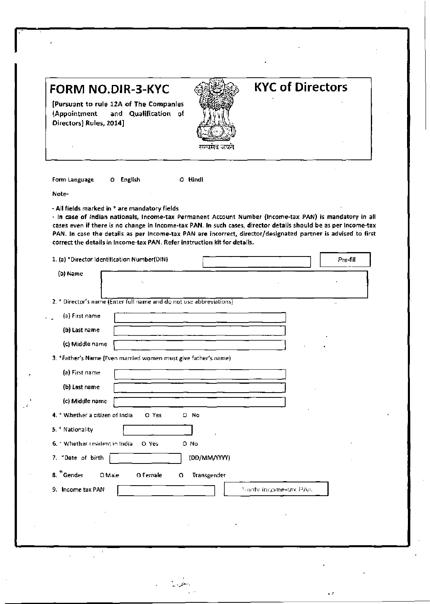| (Appointment<br>Directors} Rules, 2014] | <b>FORM NO.DIR-3-KYC</b><br>[Pursuant to rule 12A of The Companies<br>and Qualification of                               |                  | <b>KYC of Directors</b>                                                                                                                                                                                                                                                                                                                     |          |
|-----------------------------------------|--------------------------------------------------------------------------------------------------------------------------|------------------|---------------------------------------------------------------------------------------------------------------------------------------------------------------------------------------------------------------------------------------------------------------------------------------------------------------------------------------------|----------|
| Form Language                           | O English                                                                                                                | 0 Hindi          |                                                                                                                                                                                                                                                                                                                                             |          |
| Note-                                   |                                                                                                                          |                  |                                                                                                                                                                                                                                                                                                                                             |          |
|                                         | correct the details in Income-tax PAN. Refer instruction kit for details.<br>1. (a) *Director Identification Number(DIN) |                  | - In case of Indian nationals, Income-tax Permanent Account Number (Income-tax PAN) is mandatory in all<br>cases even if there is no change in Income-tax PAN. In such cases, director details should be as per Income-tax<br>PAN. In case the details as per Income-tax PAN are incorrect, director/designated partner is advised to first | Pre-fill |
| (b) Name                                |                                                                                                                          |                  |                                                                                                                                                                                                                                                                                                                                             |          |
|                                         | 2. 7 Director's name (Enter full name and do not use abbreviations)                                                      |                  |                                                                                                                                                                                                                                                                                                                                             |          |
| (a) First name                          |                                                                                                                          |                  |                                                                                                                                                                                                                                                                                                                                             |          |
| (b) Last name                           |                                                                                                                          |                  |                                                                                                                                                                                                                                                                                                                                             |          |
| (c) Middle name                         |                                                                                                                          |                  |                                                                                                                                                                                                                                                                                                                                             |          |
|                                         | 3. *Father's Name (Even married women must give father's name)                                                           |                  |                                                                                                                                                                                                                                                                                                                                             |          |
| (a) First name                          |                                                                                                                          |                  |                                                                                                                                                                                                                                                                                                                                             |          |
| (b) Last name                           |                                                                                                                          |                  |                                                                                                                                                                                                                                                                                                                                             |          |
| (c) Middle name                         |                                                                                                                          |                  |                                                                                                                                                                                                                                                                                                                                             |          |
|                                         |                                                                                                                          |                  |                                                                                                                                                                                                                                                                                                                                             |          |
| 4. * Whether a citizen of India         | O Yes                                                                                                                    | O No             |                                                                                                                                                                                                                                                                                                                                             |          |
| 5. * Nationality                        |                                                                                                                          |                  |                                                                                                                                                                                                                                                                                                                                             |          |
| 6. • Whether resident in India          | O Yes                                                                                                                    | O No             |                                                                                                                                                                                                                                                                                                                                             |          |
| 7. *Date of birth                       |                                                                                                                          | (DD/MM/YYYY)     |                                                                                                                                                                                                                                                                                                                                             |          |
| 8. *Gender                              | O Male<br>O Female                                                                                                       | Transgender<br>0 |                                                                                                                                                                                                                                                                                                                                             |          |
| 9. Income tax PAN                       |                                                                                                                          |                  | <b>Marify Income-tax PAN</b>                                                                                                                                                                                                                                                                                                                |          |
|                                         |                                                                                                                          |                  |                                                                                                                                                                                                                                                                                                                                             |          |

k s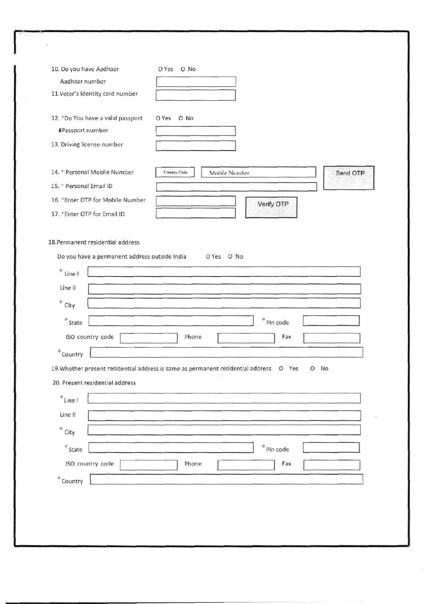| 10. Do you have Aadhaar                                   | O Yes O No                                                                                                                     |          |
|-----------------------------------------------------------|--------------------------------------------------------------------------------------------------------------------------------|----------|
| Aadhaar number                                            |                                                                                                                                |          |
| 11. Voter's Identity card number                          |                                                                                                                                |          |
| 12. *Do You have a valid passport                         | O Yes O No                                                                                                                     |          |
| #Passport number                                          |                                                                                                                                |          |
| 13. Driving license number                                |                                                                                                                                |          |
| 14. * Personal Mobile Number                              | Country Code<br>Mobile Number                                                                                                  | Send OTP |
| 15. * Personal Email ID                                   |                                                                                                                                |          |
| 16. * Enter OTP for Mobile Number                         | Verify OTP                                                                                                                     |          |
| 17. * Enter OTP for Email ID                              |                                                                                                                                |          |
| $*$ City<br>$*$ State<br>ISO country code<br>$^*$ Country | $*$ Pin code<br>Phone<br>Fax<br>19. Whether present residential address is same as permanent residential address O Yes<br>O No |          |
| 20. Present residential address                           |                                                                                                                                |          |
|                                                           |                                                                                                                                |          |
| $*$ Line I                                                |                                                                                                                                |          |
| Line II                                                   |                                                                                                                                |          |
| ${}^*$ City                                               |                                                                                                                                |          |
|                                                           | $*$ Pin code                                                                                                                   |          |
| $*$ State<br>ISO country code                             | Fax<br>Phone                                                                                                                   |          |
|                                                           |                                                                                                                                |          |
| $\displaystyle{{}^*$ Country                              |                                                                                                                                |          |
|                                                           |                                                                                                                                |          |
|                                                           |                                                                                                                                |          |
| G)                                                        |                                                                                                                                |          |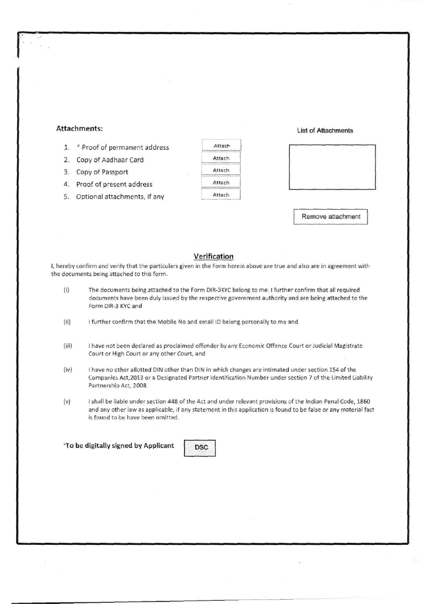## **Attachments: List of Attachments**

- 1. \* Proof of permanent address
- 2. Copy of Aadhaar Card
- 3. Copy of Passport
- 4. Proof of present address
- 5. Optional attachments, if any

| Attach |  |
|--------|--|
| Attach |  |
| Attach |  |
| Attach |  |
| Attach |  |



Remove attachment

### **Verification**

I, hereby confirm and verify that the particulars given in the Form herein above are true and also are in agreement with the documents being attached to this form.

- (i) The documents being attached to the Form DIR-3KYC belong to me. I further confirm that all required documents have been duly issued by the respective government authority and are being attached to the Form DIR-3 KYC and
- (ii) I further confirm that the Mobile No and email ID belong personally to me and
- (iii) I have not been declared as proclaimed offender by any Economic Offence Court or Judicial Magistrate Court or High Court or any other Court, and
- (iv) I have no other allotted DIN other than DIN in which changes are intimated under section 154 of the Companies Act,2013 or a Designated Partner Identification Number under section 7 of the Limited Liability Partnership Act, 2008.
- (v) I shall be liable under section 448 of the Act and under relevant provisions of the Indian Penal Code, 1860 and any other law as applicable, if any statement in this application is found to be false or any material fact is found to be have been omitted.

**\*To be digitally signed by Applicant** DSC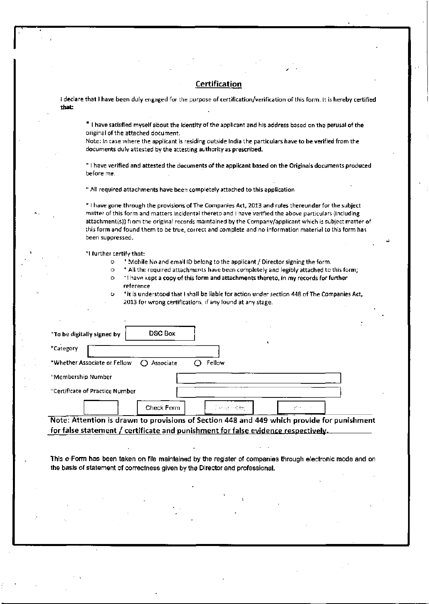### **Certification**

I declare that I have been duly engaged for the purpose of certification/verification of this form. It is hereby certified that:

\* I have satisfied myself about the identity of the applicant and his address based on the perusal of the original of the attached document.

Note: In case where the applicant is residing outside India the particulars have to be verified from the documents dulv attested by the attesting authority as prescribed.

" I have verified and attested the documents of the applicant based on the Originals documents produced before me.

\* All required attachments have been completely attached to this application

\* I have gone through the provisions of The Companies Act, 2013 and rules thereunder for the subject matter of this form and matters incidental thereto and I have verified the above particulars (including attachment(s)) fi om the original records maintained by the Company/applicant which is subject matter of this form and found them to be true, cor rect and complete and no information material to this form has been suppressed.

'I further certify that:

- o ' Mobile No and ema'l ID belong to the applicant / Director signing the form.
- o \* All the required attachments have been completely and legibly attached to this form;
- o " I have kept a copy of this form and attachments thereto, in my records for further reference
- \*it is understood that I shall be liable for action under section 448 of The Companies Act, 2013 for wrong certifications, if any found at any stage.

| <b>DSC Box</b><br>*To be digitally signed by        |                   |      |
|-----------------------------------------------------|-------------------|------|
| *Category                                           |                   | ٠    |
| *Whether Associate or Fellow<br>$\bigcap$ Associate | Fellow            |      |
| *Membership Number                                  |                   |      |
| <sup>*</sup> Certificate of Practice Number         |                   |      |
| Check Form                                          | i se og skriften. | 送り上げ |

Note: Attention is drawn to provisions of Section 448 and 449 which provide for punishment for false statement / certificate and punishment for false evidence respectively.

This e-Form has been taken on file maintained by the register of companies through electronic mode and on the basis of statement of correctness given by the Director and professional.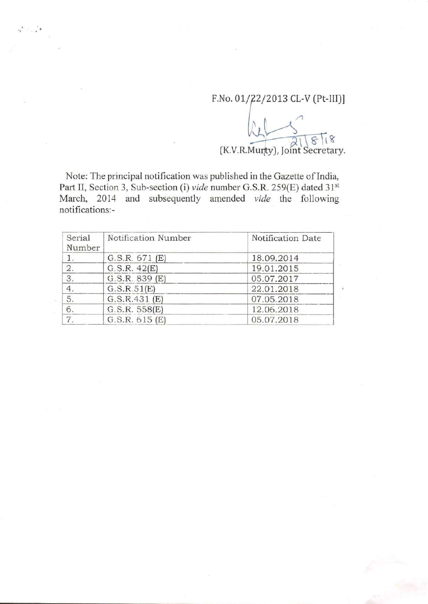# F.No. 01/22/2013 CL-V (Pt-III)]

 $(K.V.R.Murty)$ , Joint Secretary.

Note: The principal notification was published in the Gazette of India, Part II, Section 3, Sub-section (i) *vide* number G.S.R. 259(E) dated 31<sup>st</sup> March, 2014 and subsequently amended *vide* the following notifications:-

| Serial<br>Number | Notification Number | Notification Date |
|------------------|---------------------|-------------------|
| 1.               | G.S.R. 671 (E)      | 18.09.2014        |
| 2.               | G.S.R. 42(E)        | 19.01.2015        |
| 3.               | G.S.R. 839 (E)      | 05.07.2017        |
| 4.               | G.S.R.51(E)         | 22.01.2018        |
| 5.               | G.S.R.431(E)        | 07.05.2018        |
| 6.               | G.S.R. 558(E)       | 12.06.2018        |
| $\overline{7}$   | G.S.R. 615(E)       | 05.07.2018        |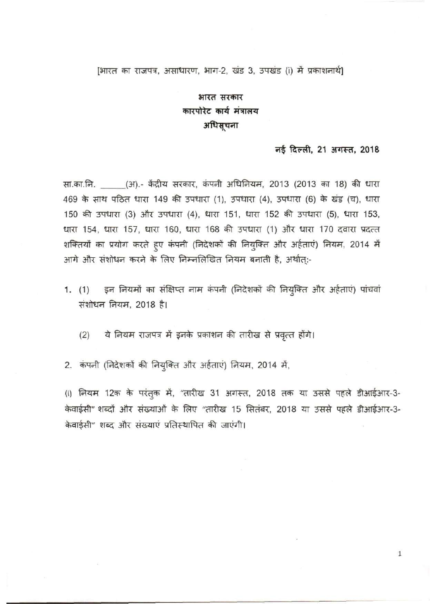# [भारत का राजपत्र, असाधारण, भाग-2, खंड 3, उपखंड (i) में प्रकाशनार्थ]

# भारत सरकार कारपोरेट कार्य मंत्रालय अधिसूचना

# $\overline{r}$  **f**  $\overline{r}$  **f**  $\overline{r}$  **f**  $\overline{r}$  **f**  $\overline{r}$  **f**  $\overline{r}$  **f**  $\overline{r}$  **f**  $\overline{r}$  **f**  $\overline{r}$  **f**  $\overline{r}$  **f**  $\overline{r}$  **f**  $\overline{r}$  **f**  $\overline{r}$  **f**  $\overline{r}$  **f**  $\overline{r}$  **f**  $\overline{r}$  **f**  $\overline{r}$  **f**

1

सा.का.नि. (3T).- केंद्रीय सरकार, कंपनी अधिनियम, 2013 (2013 का 18) की धारा 469 के साथ पठित धारा 149 की उपधारा (1), उपधारा (4), उपधारा (6) के खंड (च), धारा 150 की उपधारा (3) और उपधारा (4), धारा 151, धारा 152 की उपधारा (5), धारा 153, धारा 154, धारा 157, धारा 160, धारा 168 की उपधारा (1) और धारा 170 दवारा प्रदत्त शक्तियों का प्रयोग करते हुए कंपनी (निदेशकों की नियुक्ति और अर्हताएं) नियम, 2014 में आगे और संशोधन करने के लिए निम्नलिखित नियम बनाती है, अर्थात:-

- 1. (1) इन नियमों का संक्षिप्त नाम कंपनी (निदेशकों की नियुक्ति और अर्हताएं) पांचवां  $\frac{1}{100}$ संशोधन नियम, 2018 है।
	- ये नियम राजपत्र में इनके प्रकाशन की तारीख से प्रवृत्त होंगे।  $(2)$

2. कंपनी (निदेशकों की नियुक्ति और अर्हताएं) नियम, 2014 में,

(i) नियम 12क के परंतुक में, "तारीख 31 अगस्त, 2018 तक या उससे पहले डीआईआर-3-केवाईसी" शब्दों और संख्याओं के लिए "तारीख 15 सितंबर, 2018 या उससे पहले डीआईआर-3-केवाईसी" शब्द और संख्याएं प्रतिस्थापित की जाएंगी।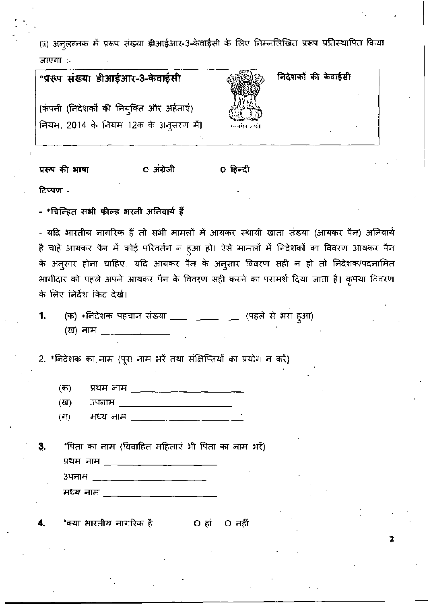(ii) अनुलग्नक में प्ररूप संख्या डीआईआर-3-केवाईसी के लिए निम्नलिखित प्ररूप प्रतिस्थापित किया जाएगा :-

| "प्ररूप संख्या डीआईआर-3-केवाईसी                                                    |                | निदेशकों की केवाईसी |
|------------------------------------------------------------------------------------|----------------|---------------------|
| [कंपनी (निदेशकों की नियुक्ति और अर्हताएं)<br>नियम, 2014 के नियम 12क के अनूसरण में) | मन्त्रांख जयते |                     |
|                                                                                    |                |                     |

० अंग्रेजी प्ररूप की भाषा ० हिन्दी

टिप्पण -

- \*चिन्हित सभी फील्ड भरनी अनिवार्य हैं

- यदि भारतीय नागरिक हैं तो सभी मामलों में आयकर स्थायी खाता संख्या (आयकर पैन) अनिवार्य है चाहे आयकर पैन में कोई परिवर्तन न हुआ हो। ऐसे मामलों में निदेशकों का विवरण आयकर पैन के अनुसार होना चाहिए। यदि आयकर पैन के अनुसार विवरण सही न हो तो निदेशक/पदनामित भागीदार को पहले अपने आयकर पैन के विवरण सही करने का परामर्श दिया जाता है। कृपया विवरण के लिए निर्देश किट दे**खें**।

(क) \*निदेशक पहचान संख्या \_\_\_\_\_\_\_\_\_\_\_\_\_ (पहले से भरा हूआ) 1. (ख) नाम \_\_\_

2. \*निदेशक का नाम (पूरा नाम भरें तथा संक्षिप्तियों का प्रयोग न करें)

(क)

उपनाम \_\_\_\_\_\_\_\_\_\_\_\_\_\_\_\_\_\_\_\_\_\_\_\_ (ড)

(না) मध्य नाम \_\_\_\_\_\_\_\_\_\_\_\_\_\_\_\_\_\_\_

'पिता का नाम (विवाहित महिलाएं भी पिता का नाम भरें) 3, प्रथम नाम \_\_\_\_\_\_\_<del>\_\_\_\_\_\_\_\_\_\_\_\_</del>\_\_\_\_\_\_\_\_

. उपनाम \_\_\_\_ \_\_\_\_\_\_ \_\_\_\_\_\_\_ \_\_\_\_\_ \_\_\_\_ मध्य नाम \_\_\_\_\_\_\_

\*क्या भारतीय नागरिक है  $O$  हां  $O$  नहीं 4.

2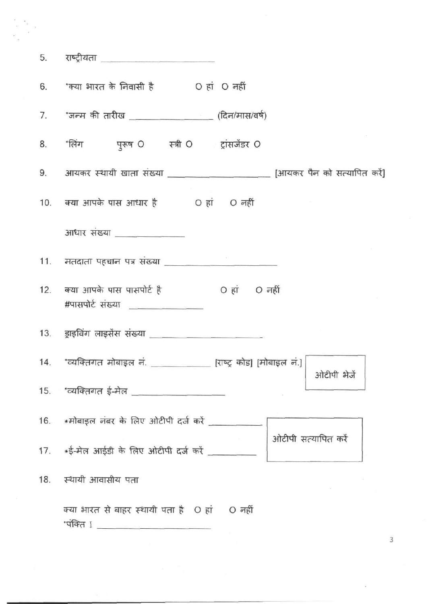|     | <u>5. राष्ट्रीयता</u> _____________________                                      |
|-----|----------------------------------------------------------------------------------|
|     | 6. 'क्या भारत के निवासी है O हां O नहीं                                          |
|     | 7. *जन्म की तारीख ___________________(दिन/मास/वर्ष)                              |
|     | 8. 'लिंग पुरूष O स्त्री O ट्रांसजेंडर O                                          |
|     | 9. आयकर स्थायी खाता संख्या ______________________ [आयकर पैन को सत्यापित करें]    |
|     | 10. क्या आपके पास आधार है o हां O नहीं                                           |
|     | आधार संख्या <u>_____________</u> ____                                            |
|     |                                                                                  |
|     | 12. क्या आपके पास पासपोर्ट है <a><br/>#पासपोर्ट संख्या</a>                       |
|     | 13. ड्राइविंग लाइसेंस संख्या ________________________                            |
|     | 14. 'व्यक्तिगत मोबाइल नं. ____________ [राष्ट्र कोड] [मोबाइल नं.]<br>ओटीपी भेजें |
|     | 15. *व्यक्तिगत ई-मेल ___________________                                         |
|     | 16.    *मोबाइल नंबर के लिए ओटीपी दर्ज करें                                       |
|     | ओटीपी सत्यापित करें                                                              |
| 18. | स्थायी आवासीय पता                                                                |
|     | क्या भारत से बाहर स्थायी पता है O हां O नहीं                                     |

 $\overline{3}$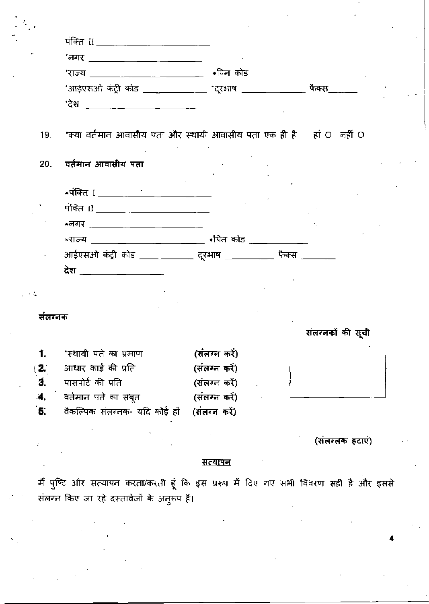|              | 'राज्य _________________________________ *पिन कोड                         |               |                  |
|--------------|---------------------------------------------------------------------------|---------------|------------------|
|              | *आईएसओ कंट्री कोड _____________ *दूरभाष _______________ फैक्स_____        |               |                  |
|              |                                                                           |               |                  |
| 19.          | ंक्या वर्तमान आवासीय पता और स्थायी आवासीय पता एक ही है     हां O   नहीं O |               |                  |
| 20.          | वर्तमान आवासीय पता                                                        |               |                  |
|              |                                                                           |               |                  |
|              |                                                                           |               |                  |
|              |                                                                           |               |                  |
|              | *राज्य _________________________ *पिन कोड ____________                    |               |                  |
|              | आईएसओ कंट्री कोड ____ _______ दूरभाष ___________ फैक्स ________           |               |                  |
|              | देश ____________________                                                  |               |                  |
|              |                                                                           |               |                  |
|              |                                                                           |               |                  |
| संलग्नक      |                                                                           |               |                  |
|              |                                                                           |               | संलग्नको की सूची |
| 1.           | 'स्थायी पते का प्रमाण                                                     | (संलग्न करे)  |                  |
| (2.          | आधार कार्ड की प्रति                                                       | (संलग्न करें) |                  |
| 3.           | पासपोर्ट की प्रति                                                         | (संलग्न करें) |                  |
| $\mathbf{4}$ | वर्तमान पते का सबूत                                                       | (संलग्न करें) |                  |
| 5.           | वैकल्पिक संलग्नक- यदि कोई हो                                              | (संलग्न करें) |                  |
|              |                                                                           |               | (संलग्लक हटाएं)  |

# <u>सत्यापन</u>

मैं पुष्टि और सत्यापन करता/करती हूं कि इस प्ररूप में दिए गए सभी विवरण सही है और इससे संलग्न किए जा रहे दस्तावेजों के अनुरूप हैं।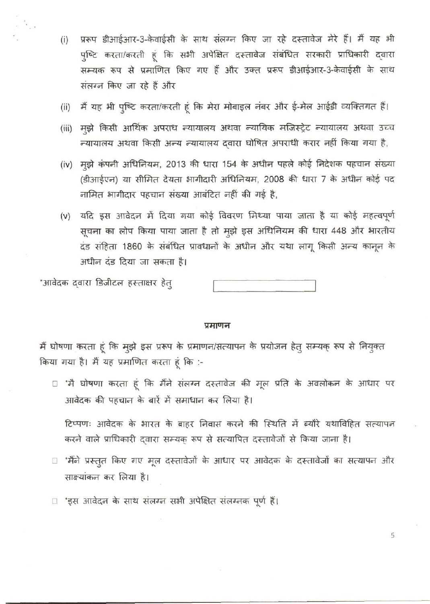- प्ररूप डीआईआर-3-केवाईसी के साथ संलग्न किए जा रहे दस्तावेज मेरे हैं। मैं यह भी  $(i)$ पुष्टि करता/करती हूं कि सभी अपेक्षित दस्तावेज संबंधित सरकारी प्राधिकारी द्वारा सम्यक रूप से प्रमाणित किए गए हैं और उक्त प्ररूप डीआईआर-3-केवाईसी के साथ संलग्न किए जा रहे हैं और
- मैं यह भी पुष्टि करता/करती हूं कि मेरा मोबाइल नंबर और ई-मेल आईडी व्यक्तिगत हैं।  $(ii)$
- (iii) मुझे किसी आर्थिक अपराध न्यायालय अथवा न्यायिक मजिस्ट्रेट न्यायालय अथवा उच्च न्यायालय अथवा किसी अन्य न्यायालय द्वारा घोषित अपराधी करार नहीं किया गया है,
- (iv) मूझे कंपनी अधिनियम, 2013 की धारा 154 के अधीन पहले कोई निदेशक पहचान संख्या (डीआईएन) या सीमित देयता भागीदारी अधिनियम, 2008 की धारा 7 के अधीन कोई पद नामित भागीदार पहचान संख्या आबंटित नहीं की गई है,
- (v) यदि इस आवेदन में दिया गया कोई विवरण मिथ्या पाया जाता है या कोई महत्वपूर्ण सूचना का लोप किया पाया जाता है तो मुझे इस अधिनियम की धारा 448 और भारतीय दंड संहिता 1860 के संबंधित प्रावधानों के अधीन और यथा लागू किसी अन्य कानून के अधीन दंड दिया जा सकता है।

"आवेदक द्वारा डिजीटल हस्ताक्षर हेत्

 $\frac{1}{2}$ 

#### प्रमाणन

मैं घोषणा करता हूं कि मुझे इस प्ररूप के प्रमाणन/सत्यापन के प्रयोजन हेतु सम्यक् रूप से नियुक्त किया गया है। मैं यह प्रमाणित करता हूं कि :-

□ 'मै घोषणा करता हूं कि मैंने संलग्न दस्तावेज की मूल प्रति के अवलोकन के आधार पर आवेदक की पहचान के बारें में समाधान कर लिया है।

टिप्पणः आवेदक के भारत के बाहर निवास करने की स्थिति में ब्यौरे यथाविहित सत्यापन करने वाले प्राधिकारी दवारा सम्यक् रूप से सत्यापित दस्तावेजों से किया जाना है।

□ 'मैंने प्रस्तुत किए गए मूल दस्तावेजों के आधार पर आवेदक के दस्तावेजों का सत्यापन और साक्ष्यांकन कर लिया है।

5

□ 'इस आवेदन के साथ संलग्न सभी अपेक्षित संलग्नक पूर्ण हैं।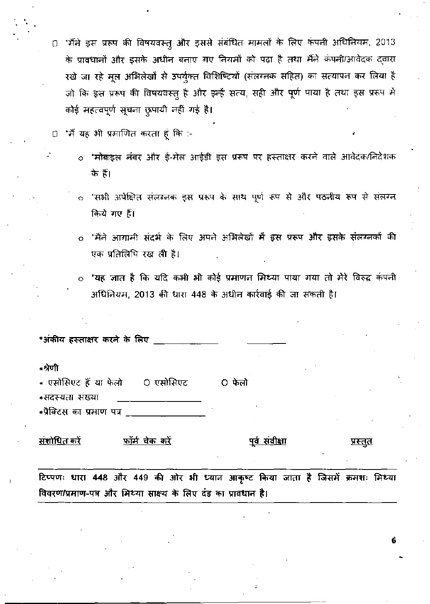- □ 'मैंने इस प्ररूप की विषयवस्तु और इससे संबंधित मामलों के लिए कंपनी अधिनियम, 2013 के प्रावधानों और इसके अधीन बनाए गए नियमों को पढ़ा है तथा मैंने कंपनी/आवेदक दवारा रखे जा रहे मूल अभिलेखों से उपर्युक्त विशिष्टियों (संलग्नक सहित) का सत्यापन कर लिया है जो कि इस प्ररूप की विषयवस्तु है और इन्हैं सत्य, सही और पूर्ण पाया है तथा इस प्ररूप में कोई महत्वपूर्ण सूचना छुपायी नहीं गई है।
- □ 'मैं यह भी प्रमाणित करता हूं कि :-
	- \*मोबाइल नंबर और ई-मेल आईडी इस प्ररूप पर हस्ताक्षर करने वाले आवेदक/निदेशक के हैं।
	- ं 'सभी अपेक्षित संलग्ननक इस प्ररूप के साथ पूर्ण रूप से और पठनीय रूप से संलग्न किये गए हैं।
	- 'मैंने आगामी संदर्भ के लिए अपने अभिलेखों में इस प्ररूप और इसके संलग्नकों की एक प्रतिलिपि रख ली है।
	- 'यह ज्ञात है कि यदि कभी भी कोई प्रमाणन मिथ्या पाया गया तो मेरे विरुद्ध कंपनी  $\circ$ अधिनियम, 2013 की धारा 448 के अधीन कार्रवाई की जा सकती है।

| *अंकीय हस्ताक्षर करने के लिए                           |                                          |  |  |  |
|--------------------------------------------------------|------------------------------------------|--|--|--|
| ∗श्रेणी                                                |                                          |  |  |  |
| * एसोसिएट हैं या फेलो     O एसोसिएट<br>*सदस्यता संख्या | O फेलो                                   |  |  |  |
| *प्रैक्टिस का प्रमाण पत्र                              |                                          |  |  |  |
| <u>संशोधित करें</u><br>फॉर्म चेक क <u>रें</u>          | <u>पूर्व संवीक्षा</u><br><u>प्रस्तुत</u> |  |  |  |

टिप्पणः धारा 448 और 449 की ओर भी ध्यान आकृष्ट किया जाता है जिसमें क्रमशः मिथ्या विवरण/प्रमाण-पत्र और मिथ्या साक्ष्य के लिए दंड का प्रावधान है।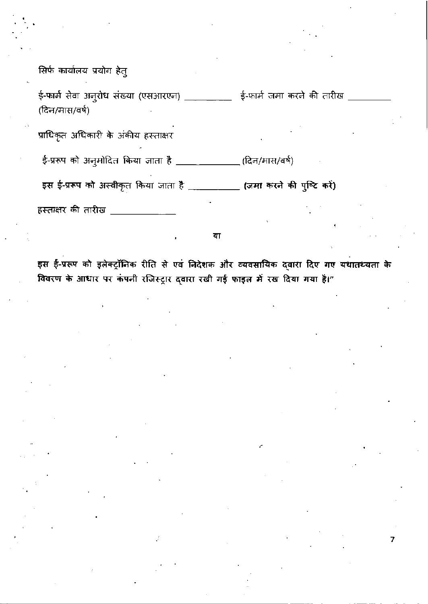सिर्फ कार्यालय प्रयोग हेतु

ई-फार्म सेवा अनुरोध संख्या (एसआरएन) \_\_\_\_\_\_\_\_ ई-फार्म जमा करने की तारीख (दिन/मास/वर्ष)

प्राधिकृत अधिकारी के अंकीय हस्ताक्षर

ई-प्ररूप को अनुमोदित किया जाता है \_\_\_\_\_\_\_\_\_\_\_\_\_\_(दिन/मास/वर्ष)

इस ई-प्ररूप को अस्वीकृत किया जाता है \_\_\_\_\_\_\_\_\_\_\_ (जमा करने की पुष्टि करें)

हस्ताक्षर की तारीख

या

इस ई-प्ररूप को इलेक्ट्रॉनिक रीति से एवं निदेशक और व्यवसायिक दवारा दिए गए यथातथ्यता के विवरण के आधार पर कंपनी रजिस्ट्रार द्वारा रखी गई फाइल में रख दिया गया है।"

7